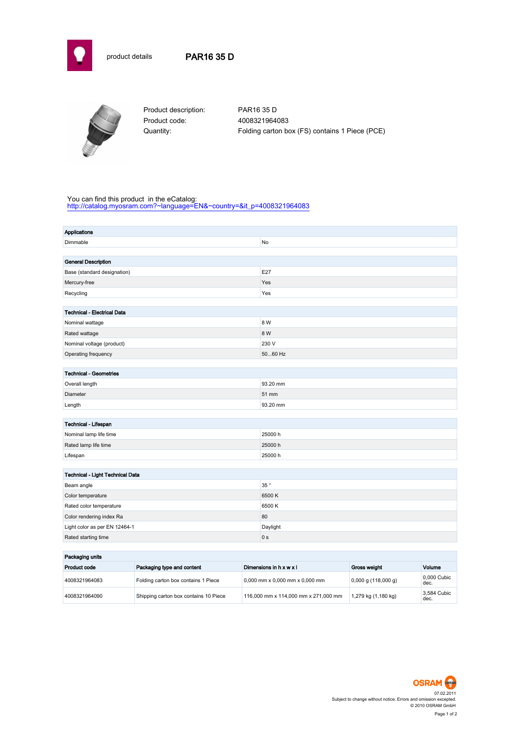

## product details PAR16 35 D



Product description: PAR16 35 D Product code: 4008321964083

Quantity: Folding carton box (FS) contains 1 Piece (PCE)

#### You can find this product in the eCatalog:

[http://catalog.myosram.com?~language=EN&~country=&it\\_p=4008321964083](http://catalog.myosram.com?~language=EN&~country=&it_p=4008321964083)

| Applications                       |                 |  |  |
|------------------------------------|-----------------|--|--|
| Dimmable                           | No              |  |  |
|                                    |                 |  |  |
| <b>General Description</b>         |                 |  |  |
| Base (standard designation)        | E27             |  |  |
| Mercury-free                       | Yes             |  |  |
| Recycling                          | Yes             |  |  |
|                                    |                 |  |  |
| <b>Technical - Electrical Data</b> |                 |  |  |
| Nominal wattage                    | 8 W             |  |  |
| Rated wattage                      | 8 W             |  |  |
| Nominal voltage (product)          | 230 V           |  |  |
| Operating frequency                | 5060 Hz         |  |  |
|                                    |                 |  |  |
| <b>Technical - Geometries</b>      |                 |  |  |
| Overall length                     | 93.20 mm        |  |  |
| Diameter                           | 51 mm           |  |  |
| Length                             | 93.20 mm        |  |  |
|                                    |                 |  |  |
| Technical - Lifespan               |                 |  |  |
| Nominal lamp life time             | 25000h          |  |  |
| Rated lamp life time               | 25000h          |  |  |
| Lifespan                           | 25000h          |  |  |
|                                    |                 |  |  |
| Technical - Light Technical Data   |                 |  |  |
| Beam angle                         | $35$ $^{\circ}$ |  |  |
| Color temperature                  | 6500K           |  |  |
| Rated color temperature            | 6500K           |  |  |
| Color rendering index Ra           | 80              |  |  |
| Light color as per EN 12464-1      | Daylight        |  |  |
| Rated starting time                | 0 <sub>s</sub>  |  |  |
|                                    |                 |  |  |
| Packaging units                    |                 |  |  |

| Packaging units |                                       |                                                |                       |                     |
|-----------------|---------------------------------------|------------------------------------------------|-----------------------|---------------------|
| Product code    | Packaging type and content            | Dimensions in $h \times w \times l$            | Gross weight          | Volume              |
| 4008321964083   | Folding carton box contains 1 Piece   | $0.000$ mm $\times$ 0.000 mm $\times$ 0.000 mm | $0,000$ g (118,000 g) | 0.000 Cubic<br>dec. |
| 4008321964090   | Shipping carton box contains 10 Piece | 116,000 mm x 114,000 mm x 271,000 mm           | 1,279 kg (1,180 kg)   | 3.584 Cubic<br>dec. |